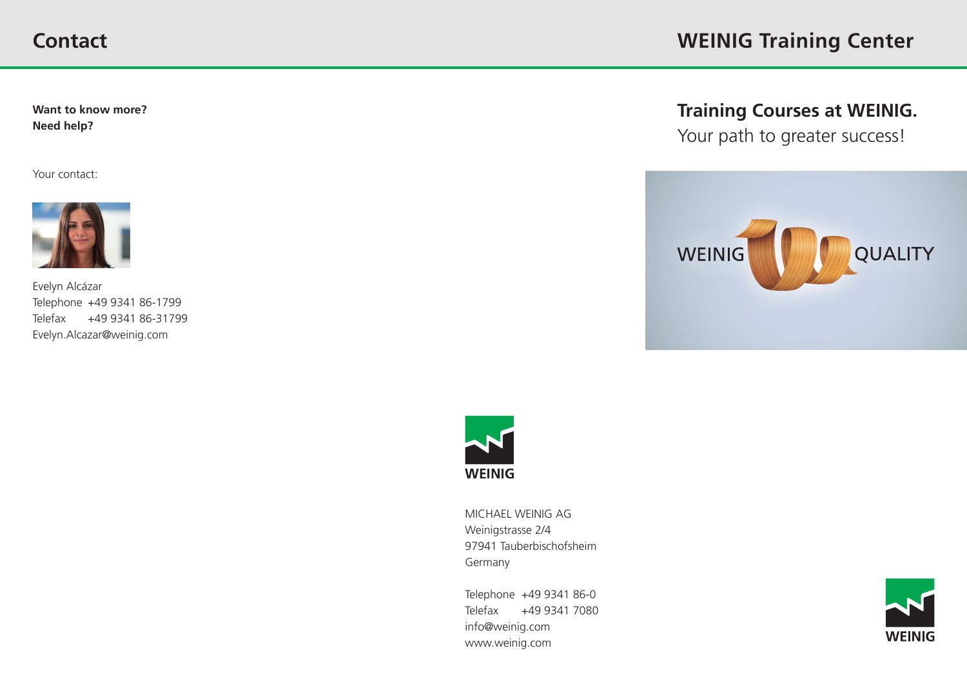**Want to know more? Need help?**

Your contact:



Evelyn Alcázar Telephone +49 9341 86-1799 Telefax +49 9341 86-31799 Evelyn.Alcazar@weinig.com

**Training Courses at WEINIG.**

Your path to greater success!





MICHAEL WEINIG AG Weinigstrasse 2/4 97941 Tauberbischofsheim Germany

Telephone +49 9341 86-0 Telefax +49 9341 7080 info@weinig.com www.weinig.com